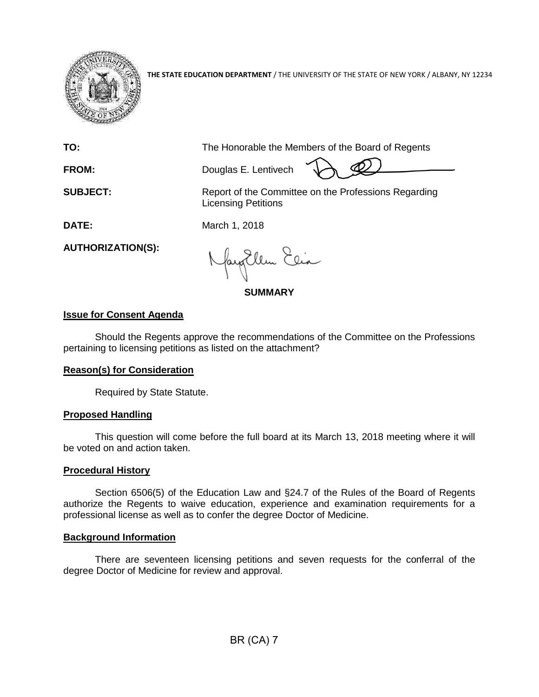

**THE STATE EDUCATION DEPARTMENT** / THE UNIVERSITY OF THE STATE OF NEW YORK / ALBANY, NY 12234

**TO:** The Honorable the Members of the Board of Regents

**FROM:** Douglas E. Lentivech

**SUBJECT:** Report of the Committee on the Professions Regarding Licensing Petitions

**DATE:** March 1, 2018

**AUTHORIZATION(S):**

fayEllen Elia

**SUMMARY**

# **Issue for Consent Agenda**

Should the Regents approve the recommendations of the Committee on the Professions pertaining to licensing petitions as listed on the attachment?

## **Reason(s) for Consideration**

Required by State Statute.

## **Proposed Handling**

This question will come before the full board at its March 13, 2018 meeting where it will be voted on and action taken.

## **Procedural History**

Section 6506(5) of the Education Law and §24.7 of the Rules of the Board of Regents authorize the Regents to waive education, experience and examination requirements for a professional license as well as to confer the degree Doctor of Medicine.

## **Background Information**

There are seventeen licensing petitions and seven requests for the conferral of the degree Doctor of Medicine for review and approval.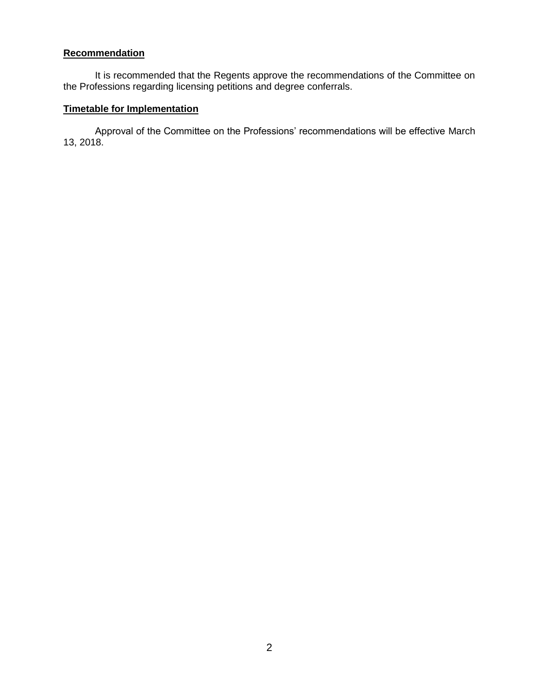## **Recommendation**

It is recommended that the Regents approve the recommendations of the Committee on the Professions regarding licensing petitions and degree conferrals.

# **Timetable for Implementation**

Approval of the Committee on the Professions' recommendations will be effective March 13, 2018.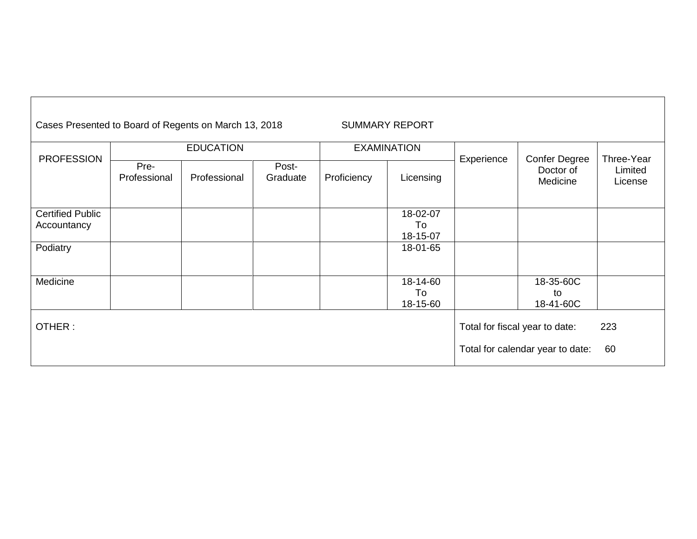| Cases Presented to Board of Regents on March 13, 2018 |                      |              |                    |             | <b>SUMMARY REPORT</b>      |            |                                               |                                  |
|-------------------------------------------------------|----------------------|--------------|--------------------|-------------|----------------------------|------------|-----------------------------------------------|----------------------------------|
|                                                       | <b>EDUCATION</b>     |              | <b>EXAMINATION</b> |             |                            |            |                                               |                                  |
| <b>PROFESSION</b>                                     | Pre-<br>Professional | Professional | Post-<br>Graduate  | Proficiency | Licensing                  | Experience | <b>Confer Degree</b><br>Doctor of<br>Medicine | Three-Year<br>Limited<br>License |
| <b>Certified Public</b><br>Accountancy                |                      |              |                    |             | 18-02-07<br>To<br>18-15-07 |            |                                               |                                  |
| Podiatry                                              |                      |              |                    |             | 18-01-65                   |            |                                               |                                  |
| Medicine                                              |                      |              |                    |             | 18-14-60<br>To<br>18-15-60 |            | 18-35-60C<br>to<br>18-41-60C                  |                                  |
| OTHER:                                                |                      |              |                    |             |                            |            | Total for fiscal year to date:                | 223                              |
|                                                       |                      |              |                    |             |                            |            | Total for calendar year to date:              | 60                               |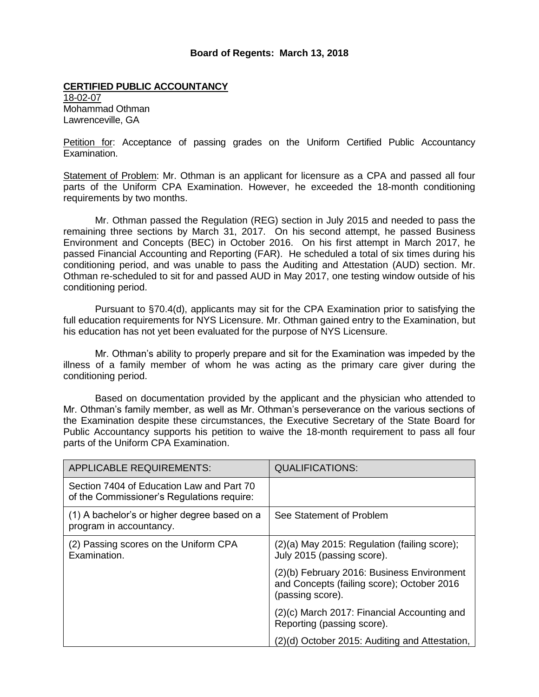### **Board of Regents: March 13, 2018**

### **CERTIFIED PUBLIC ACCOUNTANCY**

18-02-07 Mohammad Othman Lawrenceville, GA

Petition for: Acceptance of passing grades on the Uniform Certified Public Accountancy Examination.

Statement of Problem: Mr. Othman is an applicant for licensure as a CPA and passed all four parts of the Uniform CPA Examination. However, he exceeded the 18-month conditioning requirements by two months.

Mr. Othman passed the Regulation (REG) section in July 2015 and needed to pass the remaining three sections by March 31, 2017. On his second attempt, he passed Business Environment and Concepts (BEC) in October 2016. On his first attempt in March 2017, he passed Financial Accounting and Reporting (FAR). He scheduled a total of six times during his conditioning period, and was unable to pass the Auditing and Attestation (AUD) section. Mr. Othman re-scheduled to sit for and passed AUD in May 2017, one testing window outside of his conditioning period.

Pursuant to §70.4(d), applicants may sit for the CPA Examination prior to satisfying the full education requirements for NYS Licensure. Mr. Othman gained entry to the Examination, but his education has not yet been evaluated for the purpose of NYS Licensure.

Mr. Othman's ability to properly prepare and sit for the Examination was impeded by the illness of a family member of whom he was acting as the primary care giver during the conditioning period.

Based on documentation provided by the applicant and the physician who attended to Mr. Othman's family member, as well as Mr. Othman's perseverance on the various sections of the Examination despite these circumstances, the Executive Secretary of the State Board for Public Accountancy supports his petition to waive the 18-month requirement to pass all four parts of the Uniform CPA Examination.

| <b>APPLICABLE REQUIREMENTS:</b>                                                         | <b>QUALIFICATIONS:</b>                                                                                       |
|-----------------------------------------------------------------------------------------|--------------------------------------------------------------------------------------------------------------|
| Section 7404 of Education Law and Part 70<br>of the Commissioner's Regulations require: |                                                                                                              |
| (1) A bachelor's or higher degree based on a<br>program in accountancy.                 | See Statement of Problem                                                                                     |
| (2) Passing scores on the Uniform CPA<br>Examination.                                   | (2)(a) May 2015: Regulation (failing score);<br>July 2015 (passing score).                                   |
|                                                                                         | (2)(b) February 2016: Business Environment<br>and Concepts (failing score); October 2016<br>(passing score). |
|                                                                                         | (2)(c) March 2017: Financial Accounting and<br>Reporting (passing score).                                    |
|                                                                                         | (2)(d) October 2015: Auditing and Attestation,                                                               |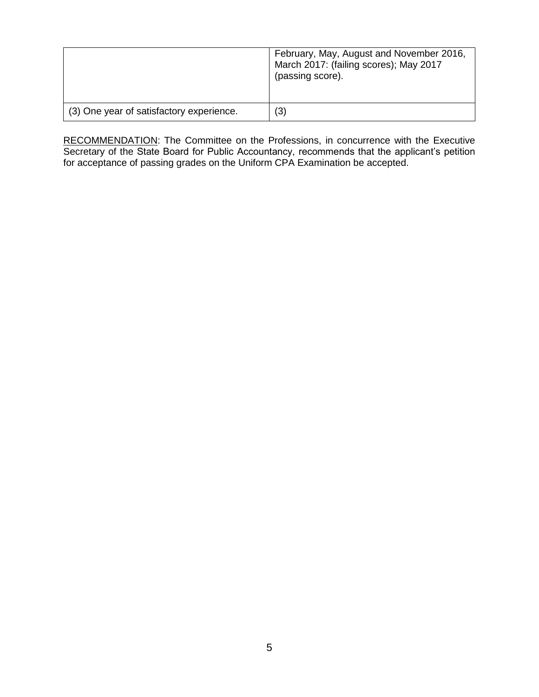|                                          | February, May, August and November 2016,<br>March 2017: (failing scores); May 2017<br>(passing score). |
|------------------------------------------|--------------------------------------------------------------------------------------------------------|
| (3) One year of satisfactory experience. | (3)                                                                                                    |

RECOMMENDATION: The Committee on the Professions, in concurrence with the Executive Secretary of the State Board for Public Accountancy, recommends that the applicant's petition for acceptance of passing grades on the Uniform CPA Examination be accepted.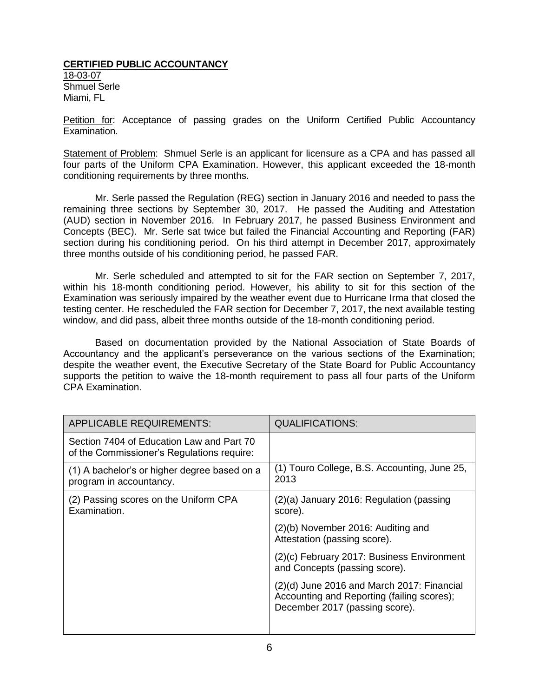## **CERTIFIED PUBLIC ACCOUNTANCY**

18-03-07 Shmuel Serle Miami, FL

Petition for: Acceptance of passing grades on the Uniform Certified Public Accountancy Examination.

Statement of Problem: Shmuel Serle is an applicant for licensure as a CPA and has passed all four parts of the Uniform CPA Examination. However, this applicant exceeded the 18-month conditioning requirements by three months.

Mr. Serle passed the Regulation (REG) section in January 2016 and needed to pass the remaining three sections by September 30, 2017. He passed the Auditing and Attestation (AUD) section in November 2016. In February 2017, he passed Business Environment and Concepts (BEC). Mr. Serle sat twice but failed the Financial Accounting and Reporting (FAR) section during his conditioning period. On his third attempt in December 2017, approximately three months outside of his conditioning period, he passed FAR.

Mr. Serle scheduled and attempted to sit for the FAR section on September 7, 2017, within his 18-month conditioning period. However, his ability to sit for this section of the Examination was seriously impaired by the weather event due to Hurricane Irma that closed the testing center. He rescheduled the FAR section for December 7, 2017, the next available testing window, and did pass, albeit three months outside of the 18-month conditioning period.

Based on documentation provided by the National Association of State Boards of Accountancy and the applicant's perseverance on the various sections of the Examination; despite the weather event, the Executive Secretary of the State Board for Public Accountancy supports the petition to waive the 18-month requirement to pass all four parts of the Uniform CPA Examination.

| <b>APPLICABLE REQUIREMENTS:</b>                                                         | <b>QUALIFICATIONS:</b>                                                                                                       |
|-----------------------------------------------------------------------------------------|------------------------------------------------------------------------------------------------------------------------------|
| Section 7404 of Education Law and Part 70<br>of the Commissioner's Regulations require: |                                                                                                                              |
| (1) A bachelor's or higher degree based on a<br>program in accountancy.                 | (1) Touro College, B.S. Accounting, June 25,<br>2013                                                                         |
| (2) Passing scores on the Uniform CPA<br>Examination.                                   | (2)(a) January 2016: Regulation (passing<br>score).                                                                          |
|                                                                                         | (2)(b) November 2016: Auditing and<br>Attestation (passing score).                                                           |
|                                                                                         | (2)(c) February 2017: Business Environment<br>and Concepts (passing score).                                                  |
|                                                                                         | $(2)(d)$ June 2016 and March 2017: Financial<br>Accounting and Reporting (failing scores);<br>December 2017 (passing score). |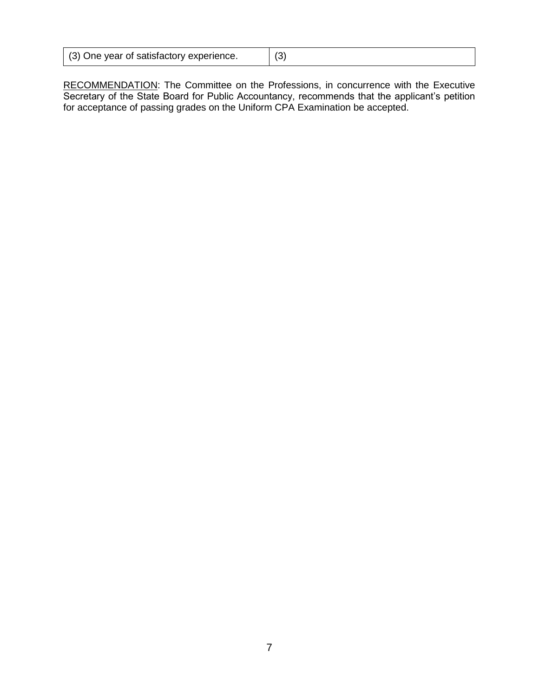| (3) One year of satisfactory experience. | / 2`<br>ັບ |
|------------------------------------------|------------|
|------------------------------------------|------------|

RECOMMENDATION: The Committee on the Professions, in concurrence with the Executive Secretary of the State Board for Public Accountancy, recommends that the applicant's petition for acceptance of passing grades on the Uniform CPA Examination be accepted.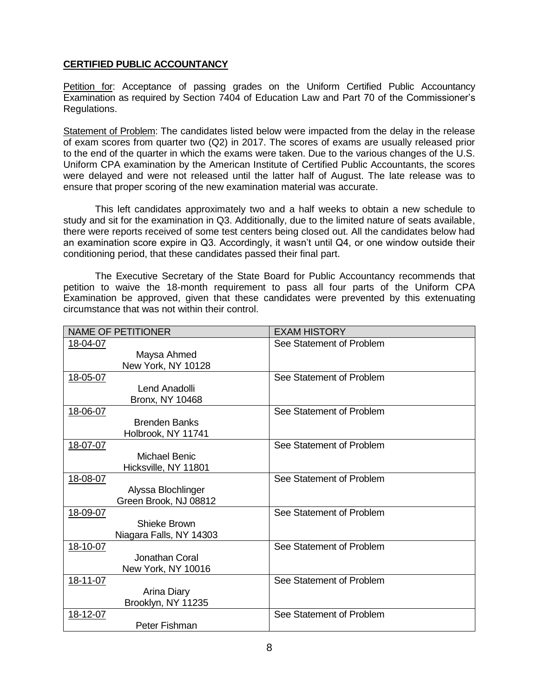## **CERTIFIED PUBLIC ACCOUNTANCY**

Petition for: Acceptance of passing grades on the Uniform Certified Public Accountancy Examination as required by Section 7404 of Education Law and Part 70 of the Commissioner's Regulations.

Statement of Problem: The candidates listed below were impacted from the delay in the release of exam scores from quarter two (Q2) in 2017. The scores of exams are usually released prior to the end of the quarter in which the exams were taken. Due to the various changes of the U.S. Uniform CPA examination by the American Institute of Certified Public Accountants, the scores were delayed and were not released until the latter half of August. The late release was to ensure that proper scoring of the new examination material was accurate.

This left candidates approximately two and a half weeks to obtain a new schedule to study and sit for the examination in Q3. Additionally, due to the limited nature of seats available, there were reports received of some test centers being closed out. All the candidates below had an examination score expire in Q3. Accordingly, it wasn't until Q4, or one window outside their conditioning period, that these candidates passed their final part.

The Executive Secretary of the State Board for Public Accountancy recommends that petition to waive the 18-month requirement to pass all four parts of the Uniform CPA Examination be approved, given that these candidates were prevented by this extenuating circumstance that was not within their control.

| <b>NAME OF PETITIONER</b>                                | <b>EXAM HISTORY</b>      |
|----------------------------------------------------------|--------------------------|
| 18-04-07<br>Maysa Ahmed<br>New York, NY 10128            | See Statement of Problem |
| 18-05-07<br>Lend Anadolli<br><b>Bronx, NY 10468</b>      | See Statement of Problem |
| 18-06-07<br><b>Brenden Banks</b><br>Holbrook, NY 11741   | See Statement of Problem |
| 18-07-07<br><b>Michael Benic</b><br>Hicksville, NY 11801 | See Statement of Problem |
| 18-08-07<br>Alyssa Blochlinger<br>Green Brook, NJ 08812  | See Statement of Problem |
| 18-09-07<br>Shieke Brown<br>Niagara Falls, NY 14303      | See Statement of Problem |
| 18-10-07<br>Jonathan Coral<br>New York, NY 10016         | See Statement of Problem |
| 18-11-07<br>Arina Diary<br>Brooklyn, NY 11235            | See Statement of Problem |
| 18-12-07<br>Peter Fishman                                | See Statement of Problem |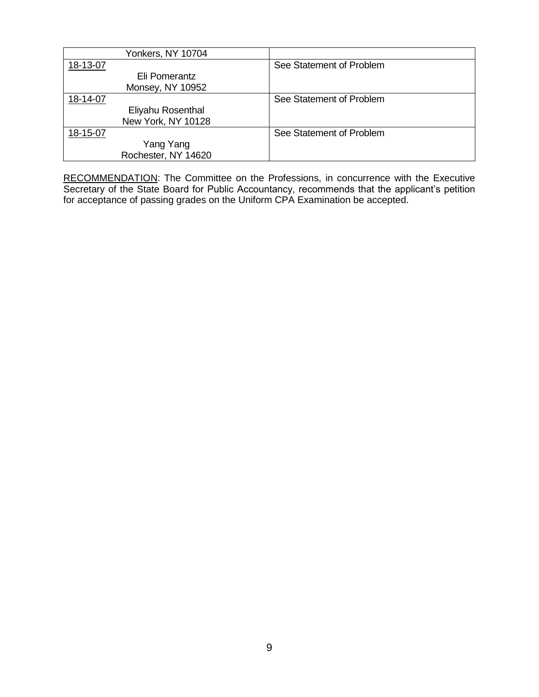| Yonkers, NY 10704   |                          |
|---------------------|--------------------------|
| 18-13-07            | See Statement of Problem |
| Eli Pomerantz       |                          |
| Monsey, NY 10952    |                          |
| 18-14-07            | See Statement of Problem |
| Eliyahu Rosenthal   |                          |
| New York, NY 10128  |                          |
| 18-15-07            | See Statement of Problem |
| Yang Yang           |                          |
| Rochester, NY 14620 |                          |

RECOMMENDATION: The Committee on the Professions, in concurrence with the Executive Secretary of the State Board for Public Accountancy, recommends that the applicant's petition for acceptance of passing grades on the Uniform CPA Examination be accepted.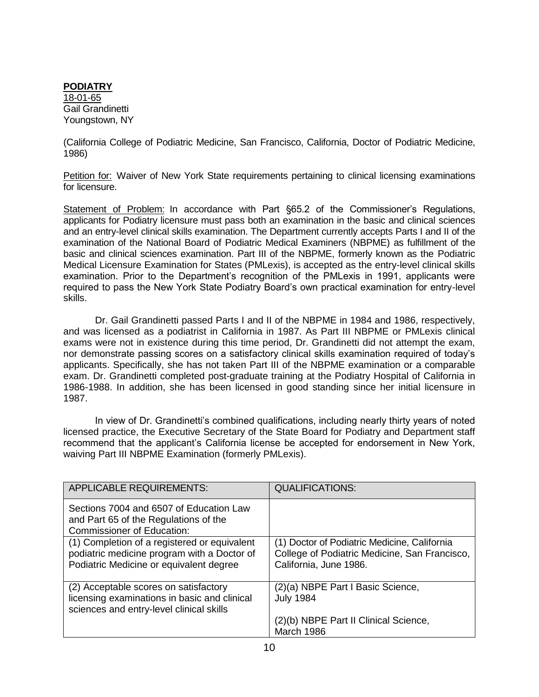**PODIATRY** 18-01-65 Gail Grandinetti Youngstown, NY

(California College of Podiatric Medicine, San Francisco, California, Doctor of Podiatric Medicine, 1986)

Petition for: Waiver of New York State requirements pertaining to clinical licensing examinations for licensure.

Statement of Problem: In accordance with Part §65.2 of the Commissioner's Regulations, applicants for Podiatry licensure must pass both an examination in the basic and clinical sciences and an entry-level clinical skills examination. The Department currently accepts Parts I and II of the examination of the National Board of Podiatric Medical Examiners (NBPME) as fulfillment of the basic and clinical sciences examination. Part III of the NBPME, formerly known as the Podiatric Medical Licensure Examination for States (PMLexis), is accepted as the entry-level clinical skills examination. Prior to the Department's recognition of the PMLexis in 1991, applicants were required to pass the New York State Podiatry Board's own practical examination for entry-level skills.

Dr. Gail Grandinetti passed Parts I and II of the NBPME in 1984 and 1986, respectively, and was licensed as a podiatrist in California in 1987. As Part III NBPME or PMLexis clinical exams were not in existence during this time period, Dr. Grandinetti did not attempt the exam, nor demonstrate passing scores on a satisfactory clinical skills examination required of today's applicants. Specifically, she has not taken Part III of the NBPME examination or a comparable exam. Dr. Grandinetti completed post-graduate training at the Podiatry Hospital of California in 1986-1988. In addition, she has been licensed in good standing since her initial licensure in 1987.

In view of Dr. Grandinetti's combined qualifications, including nearly thirty years of noted licensed practice, the Executive Secretary of the State Board for Podiatry and Department staff recommend that the applicant's California license be accepted for endorsement in New York, waiving Part III NBPME Examination (formerly PMLexis).

| <b>APPLICABLE REQUIREMENTS:</b>                                                                                                        | <b>QUALIFICATIONS:</b>                                                                                                  |
|----------------------------------------------------------------------------------------------------------------------------------------|-------------------------------------------------------------------------------------------------------------------------|
| Sections 7004 and 6507 of Education Law<br>and Part 65 of the Regulations of the<br><b>Commissioner of Education:</b>                  |                                                                                                                         |
| (1) Completion of a registered or equivalent<br>podiatric medicine program with a Doctor of<br>Podiatric Medicine or equivalent degree | (1) Doctor of Podiatric Medicine, California<br>College of Podiatric Medicine, San Francisco,<br>California, June 1986. |
| (2) Acceptable scores on satisfactory<br>licensing examinations in basic and clinical<br>sciences and entry-level clinical skills      | (2)(a) NBPE Part I Basic Science,<br><b>July 1984</b>                                                                   |
|                                                                                                                                        | (2)(b) NBPE Part II Clinical Science,<br>March 1986                                                                     |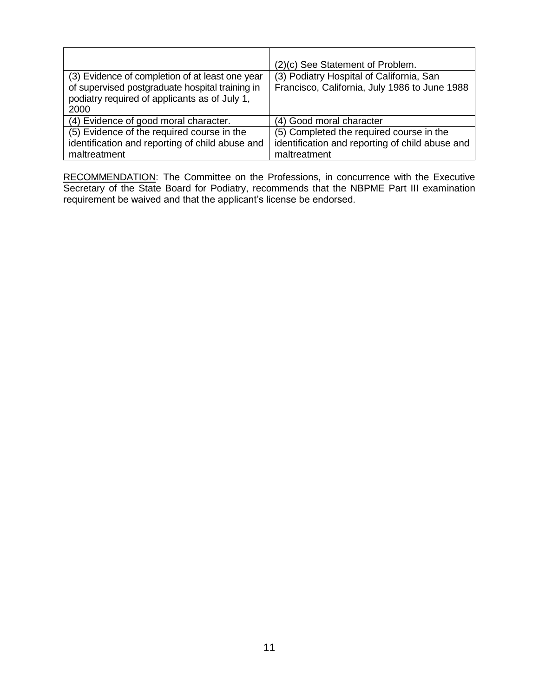|                                                                                                          | (2)(c) See Statement of Problem.                |
|----------------------------------------------------------------------------------------------------------|-------------------------------------------------|
| (3) Evidence of completion of at least one year                                                          | (3) Podiatry Hospital of California, San        |
| of supervised postgraduate hospital training in<br>podiatry required of applicants as of July 1,<br>2000 | Francisco, California, July 1986 to June 1988   |
| (4) Evidence of good moral character.                                                                    | (4) Good moral character                        |
| (5) Evidence of the required course in the                                                               | (5) Completed the required course in the        |
| identification and reporting of child abuse and                                                          | identification and reporting of child abuse and |
| maltreatment                                                                                             | maltreatment                                    |

RECOMMENDATION: The Committee on the Professions, in concurrence with the Executive Secretary of the State Board for Podiatry, recommends that the NBPME Part III examination requirement be waived and that the applicant's license be endorsed.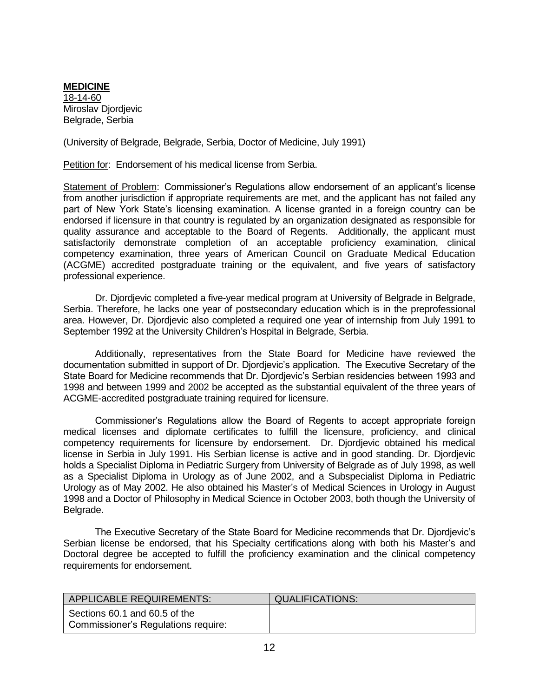**MEDICINE** 18-14-60 Miroslav Diordievic Belgrade, Serbia

(University of Belgrade, Belgrade, Serbia, Doctor of Medicine, July 1991)

Petition for: Endorsement of his medical license from Serbia.

Statement of Problem: Commissioner's Regulations allow endorsement of an applicant's license from another jurisdiction if appropriate requirements are met, and the applicant has not failed any part of New York State's licensing examination. A license granted in a foreign country can be endorsed if licensure in that country is regulated by an organization designated as responsible for quality assurance and acceptable to the Board of Regents. Additionally, the applicant must satisfactorily demonstrate completion of an acceptable proficiency examination, clinical competency examination, three years of American Council on Graduate Medical Education (ACGME) accredited postgraduate training or the equivalent, and five years of satisfactory professional experience.

Dr. Djordjevic completed a five-year medical program at University of Belgrade in Belgrade, Serbia. Therefore, he lacks one year of postsecondary education which is in the preprofessional area. However, Dr. Djordjevic also completed a required one year of internship from July 1991 to September 1992 at the University Children's Hospital in Belgrade, Serbia.

Additionally, representatives from the State Board for Medicine have reviewed the documentation submitted in support of Dr. Djordjevic's application. The Executive Secretary of the State Board for Medicine recommends that Dr. Djordjevic's Serbian residencies between 1993 and 1998 and between 1999 and 2002 be accepted as the substantial equivalent of the three years of ACGME-accredited postgraduate training required for licensure.

Commissioner's Regulations allow the Board of Regents to accept appropriate foreign medical licenses and diplomate certificates to fulfill the licensure, proficiency, and clinical competency requirements for licensure by endorsement. Dr. Djordjevic obtained his medical license in Serbia in July 1991. His Serbian license is active and in good standing. Dr. Djordjevic holds a Specialist Diploma in Pediatric Surgery from University of Belgrade as of July 1998, as well as a Specialist Diploma in Urology as of June 2002, and a Subspecialist Diploma in Pediatric Urology as of May 2002. He also obtained his Master's of Medical Sciences in Urology in August 1998 and a Doctor of Philosophy in Medical Science in October 2003, both though the University of Belgrade.

The Executive Secretary of the State Board for Medicine recommends that Dr. Djordjevic's Serbian license be endorsed, that his Specialty certifications along with both his Master's and Doctoral degree be accepted to fulfill the proficiency examination and the clinical competency requirements for endorsement.

| <b>APPLICABLE REQUIREMENTS:</b>                                      | <b>QUALIFICATIONS:</b> |
|----------------------------------------------------------------------|------------------------|
| Sections 60.1 and 60.5 of the<br>Commissioner's Regulations require: |                        |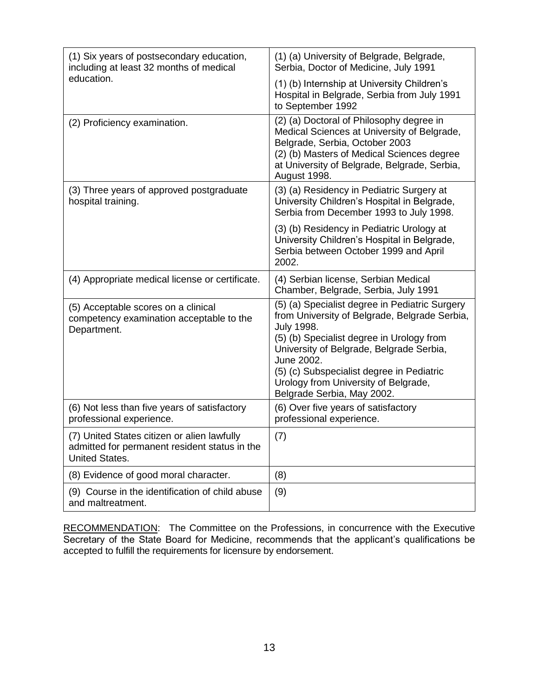| (1) Six years of postsecondary education,<br>including at least 32 months of medical                                  | (1) (a) University of Belgrade, Belgrade,<br>Serbia, Doctor of Medicine, July 1991                                                                                                                                                                                                                                                             |
|-----------------------------------------------------------------------------------------------------------------------|------------------------------------------------------------------------------------------------------------------------------------------------------------------------------------------------------------------------------------------------------------------------------------------------------------------------------------------------|
| education.                                                                                                            | (1) (b) Internship at University Children's<br>Hospital in Belgrade, Serbia from July 1991<br>to September 1992                                                                                                                                                                                                                                |
| (2) Proficiency examination.                                                                                          | (2) (a) Doctoral of Philosophy degree in<br>Medical Sciences at University of Belgrade,<br>Belgrade, Serbia, October 2003<br>(2) (b) Masters of Medical Sciences degree<br>at University of Belgrade, Belgrade, Serbia,<br>August 1998.                                                                                                        |
| (3) Three years of approved postgraduate<br>hospital training.                                                        | (3) (a) Residency in Pediatric Surgery at<br>University Children's Hospital in Belgrade,<br>Serbia from December 1993 to July 1998.                                                                                                                                                                                                            |
|                                                                                                                       | (3) (b) Residency in Pediatric Urology at<br>University Children's Hospital in Belgrade,<br>Serbia between October 1999 and April<br>2002.                                                                                                                                                                                                     |
| (4) Appropriate medical license or certificate.                                                                       | (4) Serbian license, Serbian Medical<br>Chamber, Belgrade, Serbia, July 1991                                                                                                                                                                                                                                                                   |
| (5) Acceptable scores on a clinical<br>competency examination acceptable to the<br>Department.                        | (5) (a) Specialist degree in Pediatric Surgery<br>from University of Belgrade, Belgrade Serbia,<br><b>July 1998.</b><br>(5) (b) Specialist degree in Urology from<br>University of Belgrade, Belgrade Serbia,<br>June 2002.<br>(5) (c) Subspecialist degree in Pediatric<br>Urology from University of Belgrade,<br>Belgrade Serbia, May 2002. |
| (6) Not less than five years of satisfactory<br>professional experience.                                              | (6) Over five years of satisfactory<br>professional experience.                                                                                                                                                                                                                                                                                |
| (7) United States citizen or alien lawfully<br>admitted for permanent resident status in the<br><b>United States.</b> | (7)                                                                                                                                                                                                                                                                                                                                            |
| (8) Evidence of good moral character.                                                                                 | (8)                                                                                                                                                                                                                                                                                                                                            |
| (9) Course in the identification of child abuse<br>and maltreatment.                                                  | (9)                                                                                                                                                                                                                                                                                                                                            |

RECOMMENDATION: The Committee on the Professions, in concurrence with the Executive Secretary of the State Board for Medicine, recommends that the applicant's qualifications be accepted to fulfill the requirements for licensure by endorsement.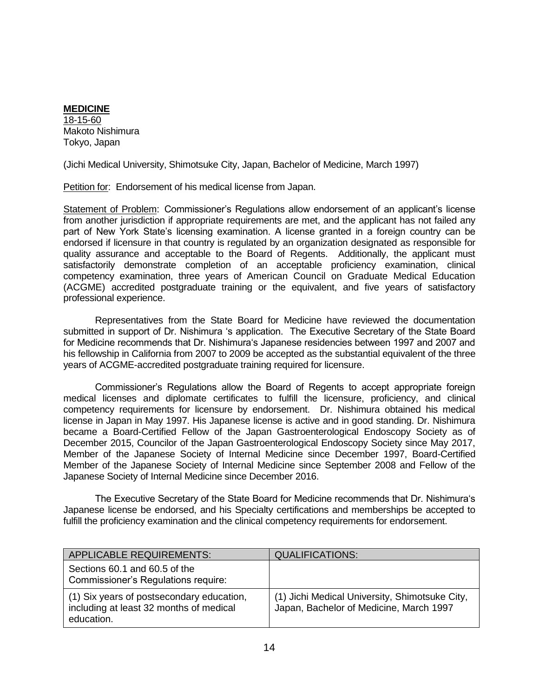**MEDICINE**  $18-15-60$ Makoto Nishimura Tokyo, Japan

(Jichi Medical University, Shimotsuke City, Japan, Bachelor of Medicine, March 1997)

Petition for: Endorsement of his medical license from Japan.

Statement of Problem: Commissioner's Regulations allow endorsement of an applicant's license from another jurisdiction if appropriate requirements are met, and the applicant has not failed any part of New York State's licensing examination. A license granted in a foreign country can be endorsed if licensure in that country is regulated by an organization designated as responsible for quality assurance and acceptable to the Board of Regents. Additionally, the applicant must satisfactorily demonstrate completion of an acceptable proficiency examination, clinical competency examination, three years of American Council on Graduate Medical Education (ACGME) accredited postgraduate training or the equivalent, and five years of satisfactory professional experience.

Representatives from the State Board for Medicine have reviewed the documentation submitted in support of Dr. Nishimura 's application. The Executive Secretary of the State Board for Medicine recommends that Dr. Nishimura's Japanese residencies between 1997 and 2007 and his fellowship in California from 2007 to 2009 be accepted as the substantial equivalent of the three years of ACGME-accredited postgraduate training required for licensure.

Commissioner's Regulations allow the Board of Regents to accept appropriate foreign medical licenses and diplomate certificates to fulfill the licensure, proficiency, and clinical competency requirements for licensure by endorsement. Dr. Nishimura obtained his medical license in Japan in May 1997. His Japanese license is active and in good standing. Dr. Nishimura became a Board-Certified Fellow of the Japan Gastroenterological Endoscopy Society as of December 2015, Councilor of the Japan Gastroenterological Endoscopy Society since May 2017, Member of the Japanese Society of Internal Medicine since December 1997, Board-Certified Member of the Japanese Society of Internal Medicine since September 2008 and Fellow of the Japanese Society of Internal Medicine since December 2016.

The Executive Secretary of the State Board for Medicine recommends that Dr. Nishimura's Japanese license be endorsed, and his Specialty certifications and memberships be accepted to fulfill the proficiency examination and the clinical competency requirements for endorsement.

| <b>APPLICABLE REQUIREMENTS:</b>                                                                    | <b>QUALIFICATIONS:</b>                                                                    |
|----------------------------------------------------------------------------------------------------|-------------------------------------------------------------------------------------------|
| Sections 60.1 and 60.5 of the<br>Commissioner's Regulations require:                               |                                                                                           |
| (1) Six years of postsecondary education,<br>including at least 32 months of medical<br>education. | (1) Jichi Medical University, Shimotsuke City,<br>Japan, Bachelor of Medicine, March 1997 |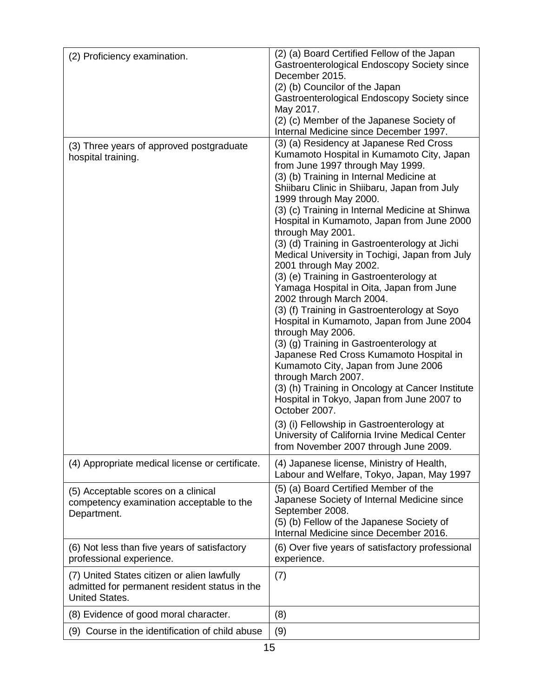| (2) Proficiency examination.                                                                                          | (2) (a) Board Certified Fellow of the Japan<br>Gastroenterological Endoscopy Society since<br>December 2015.<br>(2) (b) Councilor of the Japan<br>Gastroenterological Endoscopy Society since<br>May 2017.<br>(2) (c) Member of the Japanese Society of<br>Internal Medicine since December 1997.                                                                                                                                                                                                                                                                                                                                                                                                                                                                                                                                                                                                                                                                                                                                                                                                                                                      |
|-----------------------------------------------------------------------------------------------------------------------|--------------------------------------------------------------------------------------------------------------------------------------------------------------------------------------------------------------------------------------------------------------------------------------------------------------------------------------------------------------------------------------------------------------------------------------------------------------------------------------------------------------------------------------------------------------------------------------------------------------------------------------------------------------------------------------------------------------------------------------------------------------------------------------------------------------------------------------------------------------------------------------------------------------------------------------------------------------------------------------------------------------------------------------------------------------------------------------------------------------------------------------------------------|
| (3) Three years of approved postgraduate<br>hospital training.                                                        | (3) (a) Residency at Japanese Red Cross<br>Kumamoto Hospital in Kumamoto City, Japan<br>from June 1997 through May 1999.<br>(3) (b) Training in Internal Medicine at<br>Shiibaru Clinic in Shiibaru, Japan from July<br>1999 through May 2000.<br>(3) (c) Training in Internal Medicine at Shinwa<br>Hospital in Kumamoto, Japan from June 2000<br>through May 2001.<br>(3) (d) Training in Gastroenterology at Jichi<br>Medical University in Tochigi, Japan from July<br>2001 through May 2002.<br>(3) (e) Training in Gastroenterology at<br>Yamaga Hospital in Oita, Japan from June<br>2002 through March 2004.<br>(3) (f) Training in Gastroenterology at Soyo<br>Hospital in Kumamoto, Japan from June 2004<br>through May 2006.<br>(3) (g) Training in Gastroenterology at<br>Japanese Red Cross Kumamoto Hospital in<br>Kumamoto City, Japan from June 2006<br>through March 2007.<br>(3) (h) Training in Oncology at Cancer Institute<br>Hospital in Tokyo, Japan from June 2007 to<br>October 2007.<br>(3) (i) Fellowship in Gastroenterology at<br>University of California Irvine Medical Center<br>from November 2007 through June 2009. |
| (4) Appropriate medical license or certificate.                                                                       | (4) Japanese license, Ministry of Health,<br>Labour and Welfare, Tokyo, Japan, May 1997                                                                                                                                                                                                                                                                                                                                                                                                                                                                                                                                                                                                                                                                                                                                                                                                                                                                                                                                                                                                                                                                |
| (5) Acceptable scores on a clinical<br>competency examination acceptable to the<br>Department.                        | (5) (a) Board Certified Member of the<br>Japanese Society of Internal Medicine since<br>September 2008.<br>(5) (b) Fellow of the Japanese Society of<br>Internal Medicine since December 2016.                                                                                                                                                                                                                                                                                                                                                                                                                                                                                                                                                                                                                                                                                                                                                                                                                                                                                                                                                         |
| (6) Not less than five years of satisfactory<br>professional experience.                                              | (6) Over five years of satisfactory professional<br>experience.                                                                                                                                                                                                                                                                                                                                                                                                                                                                                                                                                                                                                                                                                                                                                                                                                                                                                                                                                                                                                                                                                        |
| (7) United States citizen or alien lawfully<br>admitted for permanent resident status in the<br><b>United States.</b> | (7)                                                                                                                                                                                                                                                                                                                                                                                                                                                                                                                                                                                                                                                                                                                                                                                                                                                                                                                                                                                                                                                                                                                                                    |
| (8) Evidence of good moral character.                                                                                 | (8)                                                                                                                                                                                                                                                                                                                                                                                                                                                                                                                                                                                                                                                                                                                                                                                                                                                                                                                                                                                                                                                                                                                                                    |
| (9) Course in the identification of child abuse                                                                       | (9)                                                                                                                                                                                                                                                                                                                                                                                                                                                                                                                                                                                                                                                                                                                                                                                                                                                                                                                                                                                                                                                                                                                                                    |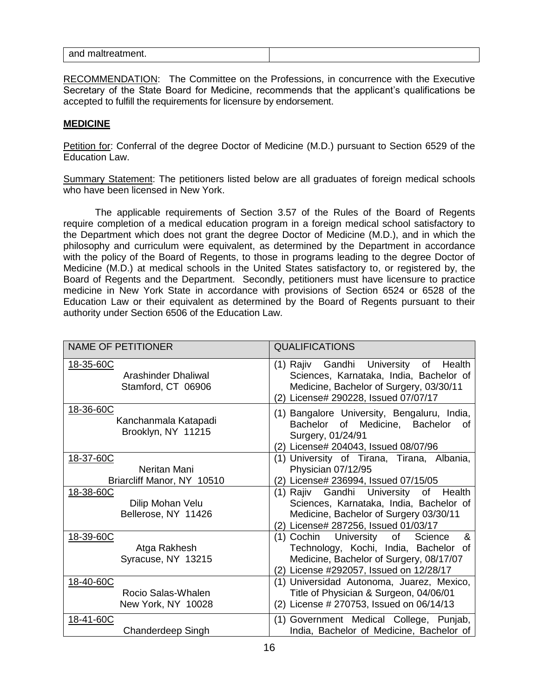| and<br>$-$<br>$\sim$<br>ואווי<br>.<br>ີ |  |
|-----------------------------------------|--|
|-----------------------------------------|--|

RECOMMENDATION: The Committee on the Professions, in concurrence with the Executive Secretary of the State Board for Medicine, recommends that the applicant's qualifications be accepted to fulfill the requirements for licensure by endorsement.

## **MEDICINE**

Petition for: Conferral of the degree Doctor of Medicine (M.D.) pursuant to Section 6529 of the Education Law.

Summary Statement: The petitioners listed below are all graduates of foreign medical schools who have been licensed in New York.

The applicable requirements of Section 3.57 of the Rules of the Board of Regents require completion of a medical education program in a foreign medical school satisfactory to the Department which does not grant the degree Doctor of Medicine (M.D.), and in which the philosophy and curriculum were equivalent, as determined by the Department in accordance with the policy of the Board of Regents, to those in programs leading to the degree Doctor of Medicine (M.D.) at medical schools in the United States satisfactory to, or registered by, the Board of Regents and the Department. Secondly, petitioners must have licensure to practice medicine in New York State in accordance with provisions of Section 6524 or 6528 of the Education Law or their equivalent as determined by the Board of Regents pursuant to their authority under Section 6506 of the Education Law.

| <b>NAME OF PETITIONER</b>                               | <b>QUALIFICATIONS</b>                                                                                                                                                       |
|---------------------------------------------------------|-----------------------------------------------------------------------------------------------------------------------------------------------------------------------------|
| 18-35-60C<br>Arashinder Dhaliwal<br>Stamford, CT 06906  | (1) Rajiv Gandhi University<br>of Health<br>Sciences, Karnataka, India, Bachelor of<br>Medicine, Bachelor of Surgery, 03/30/11<br>(2) License# 290228, Issued 07/07/17      |
| 18-36-60C<br>Kanchanmala Katapadi<br>Brooklyn, NY 11215 | (1) Bangalore University, Bengaluru, India,<br>Bachelor of Medicine, Bachelor<br>οf<br>Surgery, 01/24/91<br>(2) License# 204043, Issued 08/07/96                            |
| 18-37-60C<br>Neritan Mani<br>Briarcliff Manor, NY 10510 | (1) University of Tirana, Tirana, Albania,<br>Physician 07/12/95<br>(2) License# 236994, Issued 07/15/05                                                                    |
| 18-38-60C<br>Dilip Mohan Velu<br>Bellerose, NY 11426    | Gandhi University<br>(1) Rajiv<br>Health<br>of<br>Sciences, Karnataka, India, Bachelor of<br>Medicine, Bachelor of Surgery 03/30/11<br>(2) License# 287256, Issued 01/03/17 |
| 18-39-60C<br>Atga Rakhesh<br>Syracuse, NY 13215         | (1) Cochin University of<br>&<br>Science<br>Technology, Kochi, India, Bachelor of<br>Medicine, Bachelor of Surgery, 08/17/07<br>(2) License #292057, Issued on 12/28/17     |
| 18-40-60C<br>Rocio Salas-Whalen<br>New York, NY 10028   | (1) Universidad Autonoma, Juarez, Mexico,<br>Title of Physician & Surgeon, 04/06/01<br>(2) License # 270753, Issued on 06/14/13                                             |
| 18-41-60C<br>Chanderdeep Singh                          | (1) Government Medical College, Punjab,<br>India, Bachelor of Medicine, Bachelor of                                                                                         |